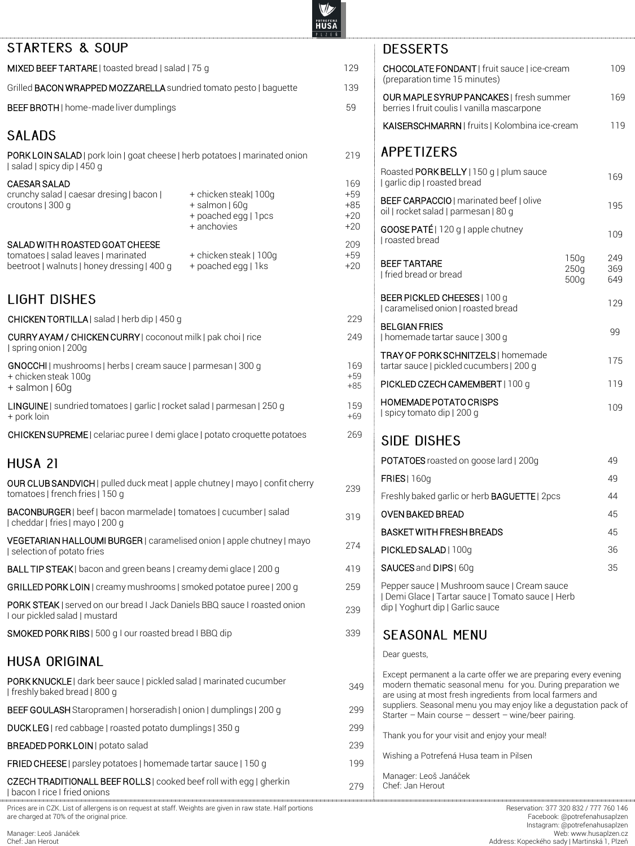219

169 +59 +85 +20 +20

209 +59  $+20$ 

 $249$ 

169 +59 +85

159 +69

### STARTERS & SOUP

MIXED BEEF TARTARE | toasted bread | salad | 75 g 129

Grilled **BACON WRAPPED MOZZARELLA** sundried tomato pesto | baquette 139

BEEF BROTH | home-made liver dumplings  $59$ 

## **SALADS**

PORK LOIN SALAD | pork loin | goat cheese | herb potatoes | marinated onion | salad | spicy dip | 450 g

#### CAESAR SALAD

crunchy salad | caesar dresing | bacon | croutons | 300 g

- + chicken steak| 100g + salmon | 60g
- + poached egg | 1pcs
- + anchovies
- SALAD WITH ROASTED GOAT CHEESE
- tomatoes | salad leaves | marinated beetroot | walnuts | honey dressing | 400 g
- + chicken steak | 100g + poached egg | 1ks

**LIGHT DISHES** 

CHICKEN TORTILLA | salad | herb dip | 450 g 209

CURRY AYAM / CHICKEN CURRY | coconout milk | pak choi | rice | spring onion | 200g

GNOCCHI | mushrooms | herbs | cream sauce | parmesan | 300 g + chicken steak 100g

+ salmon | 60g

LINGUINE | sundried tomatoes | garlic | rocket salad | parmesan | 250 g + pork loin

CHICKEN SUPREME | celariac puree I demi glace | potato croquette potatoes 269

### HUSA 21

OUR CLUB SANDVICH | pulled duck meat | apple chutney | mayo | confit cherry **OOR CLOB SANDVICH** | pulled duck meat | apple chuttley | mayo | connitionerly 239<br>tomatoes | french fries | 150 g

BACONBURGER| beef | bacon marmelade | tomatoes | cucumber| salad BACONBORGEN | DEEL DACONTRATTIERAGE | CONTACTES | CUCULIDEN | SARACHI 319<br>| cheddar | fries | mayo | 200 g

VEGETARIAN HALLOUMI BURGER | caramelised onion | apple chutney | mayo | selection of potato fries <sup>274</sup>

BALL TIP STEAK | bacon and green beans | creamy demi glace | 200 g 419

GRILLED PORK LOIN | creamy mushrooms | smoked potatoe puree | 200 g 259

PORK STEAK | served on our bread I Jack Daniels BBQ sauce I roasted onion PORK STEAK | served on our pread TJack Daniels BBQ sauce Froasted onlon<br>Tour pickled salad | mustard

SMOKED PORK RIBS | 500 g I our roasted bread I BBQ dip 339

### **HUSA ORIGINAL**

PORK KNUCKLE | dark beer sauce | pickled salad | marinated cucumber PORN NNOCKLET datk beer sauce | pickled salad | manhated cucumber<br>| freshly baked bread | 800 g

BEEF GOULASH Staropramen | horseradish | onion | dumplings | 200 g 299

DUCK LEG | red cabbage | roasted potato dumplings | 350 g 299

BREADED PORK LOIN | potato salad 239

**FRIED CHEESE** | parsley potatoes | homemade tartar sauce | 150 g 199

CZECH TRADITIONALL BEEF ROLLS| cooked beef roll with egg | gherkin Pacon Price I fried onions 279

Prices are in CZK. List of allergens is on request at staff. Weights are given in raw state. Half portions are charged at 70% of the original price.

| CHOCOLATE FONDANT   fruit sauce   ice-cream<br>(preparation time 15 minutes)    |                      | 109                                                                                                                                                                                                                                                 |
|---------------------------------------------------------------------------------|----------------------|-----------------------------------------------------------------------------------------------------------------------------------------------------------------------------------------------------------------------------------------------------|
|                                                                                 |                      |                                                                                                                                                                                                                                                     |
| berries I fruit coulis I vanilla mascarpone                                     |                      | 169                                                                                                                                                                                                                                                 |
|                                                                                 |                      | 119                                                                                                                                                                                                                                                 |
| <b>APPETIZERS</b>                                                               |                      |                                                                                                                                                                                                                                                     |
| Roasted PORK BELLY   150 g   plum sauce<br>I garlic dip   roasted bread         |                      | 169                                                                                                                                                                                                                                                 |
| BEEF CARPACCIO   marinated beef   olive<br>oil   rocket salad   parmesan   80 g |                      | 195                                                                                                                                                                                                                                                 |
| <b>GOOSE PATÉ</b>   120 g   apple chutney<br>I roasted bread                    |                      | 109                                                                                                                                                                                                                                                 |
| <b>BEEF TARTARE</b><br>I fried bread or bread                                   | 150q<br>250q<br>500g | 249<br>369<br>649                                                                                                                                                                                                                                   |
| BEER PICKLED CHEESES   100 g<br>I caramelised onion   roasted bread             |                      | 129                                                                                                                                                                                                                                                 |
| <b>BELGIAN FRIES</b><br>  homemade tartar sauce   300 g                         |                      | 99                                                                                                                                                                                                                                                  |
| TRAY OF PORK SCHNITZELS   homemade<br>tartar sauce   pickled cucumbers   200 g  |                      | 175                                                                                                                                                                                                                                                 |
| PICKLED CZECH CAMEMBERT   100 g                                                 |                      | 119                                                                                                                                                                                                                                                 |
| HOMEMADE POTATO CRISPS<br>  spicy tomato dip   200 g                            |                      | 109                                                                                                                                                                                                                                                 |
| <b>SIDE DISHES</b>                                                              |                      |                                                                                                                                                                                                                                                     |
| POTATOES roasted on goose lard   200g                                           |                      | 49                                                                                                                                                                                                                                                  |
| <b>FRIES</b>   160g                                                             |                      | 49                                                                                                                                                                                                                                                  |
|                                                                                 |                      | 44                                                                                                                                                                                                                                                  |
| <b>OVEN BAKED BREAD</b>                                                         |                      | 45                                                                                                                                                                                                                                                  |
| <b>BASKET WITH FRESH BREADS</b>                                                 |                      | 45                                                                                                                                                                                                                                                  |
| PICKLED SALAD   100g                                                            |                      | 36                                                                                                                                                                                                                                                  |
| SAUCES and DIPS   60g                                                           |                      | 35                                                                                                                                                                                                                                                  |
| dip   Yoghurt dip   Garlic sauce                                                |                      |                                                                                                                                                                                                                                                     |
| <b>SEASONAL MENU</b>                                                            |                      |                                                                                                                                                                                                                                                     |
| Dear quests,                                                                    |                      |                                                                                                                                                                                                                                                     |
|                                                                                 |                      | OUR MAPLE SYRUP PANCAKES   fresh summer<br>KAISERSCHMARRN   fruits   Kolombina ice-cream<br>Freshly baked garlic or herb <b>BAGUETTE</b>   2pcs<br>Pepper sauce   Mushroom sauce   Cream sauce<br>  Demi Glace   Tartar sauce   Tomato sauce   Herb |

Except permanent a la carte offer we are preparing every evening modern thematic seasonal menu for you. During preparation we are using at most fresh ingredients from local farmers and suppliers. Seasonal menu you may enjoy like a degustation pack of Starter – Main course – dessert – wine/beer pairing. Thank you for your visit and enjoy your meal!

Wishing a Potrefená Husa team in Pilsen

Manager: Leoš Janáček Chef: Jan Herout

Reservation: 377 320 832 / 777 760 146 Facebook: @potrefenahusaplzen Instagram: @potrefenahusaplzen Web: www.husaplzen.cz Address: Kopeckého sady | Martinská 1, Plzeň